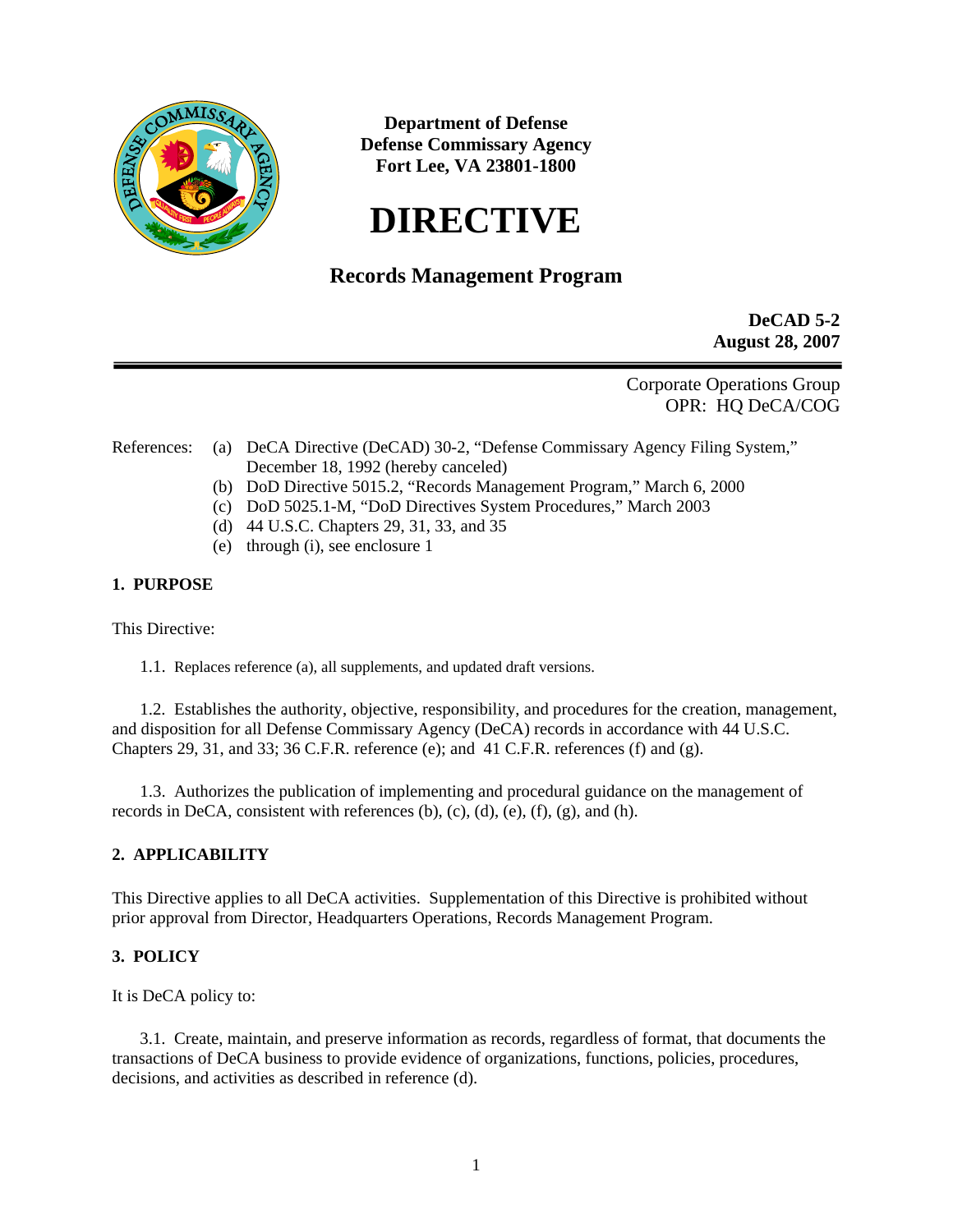

**Department of Defense Defense Commissary Agency Fort Lee, VA 23801-1800** 

# **DIRECTIVE**

# **Records Management Program**

**DeCAD 5-2 August 28, 2007** 

Corporate Operations Group OPR: HQ DeCA/COG

- References: (a) DeCA Directive (DeCAD) 30-2, "Defense Commissary Agency Filing System," December 18, 1992 (hereby canceled)
	- (b) DoD Directive 5015.2, "Records Management Program," March 6, 2000
	- (c) DoD 5025.1-M, "DoD Directives System Procedures," March 2003
	- (d) 44 U.S.C. Chapters 29, 31, 33, and 35
	- (e) through (i), see enclosure 1

# **1. PURPOSE**

This Directive:

1.1. Replaces reference (a), all supplements, and updated draft versions.

1.2. Establishes the authority, objective, responsibility, and procedures for the creation, management, and disposition for all Defense Commissary Agency (DeCA) records in accordance with 44 U.S.C. Chapters 29, 31, and 33; 36 C.F.R. reference (e); and 41 C.F.R. references (f) and (g).

1.3. Authorizes the publication of implementing and procedural guidance on the management of records in DeCA, consistent with references  $(b)$ ,  $(c)$ ,  $(d)$ ,  $(e)$ ,  $(f)$ ,  $(g)$ , and  $(h)$ .

# **2. APPLICABILITY**

This Directive applies to all DeCA activities. Supplementation of this Directive is prohibited without prior approval from Director, Headquarters Operations, Records Management Program.

# **3. POLICY**

It is DeCA policy to:

3.1. Create, maintain, and preserve information as records, regardless of format, that documents the transactions of DeCA business to provide evidence of organizations, functions, policies, procedures, decisions, and activities as described in reference (d).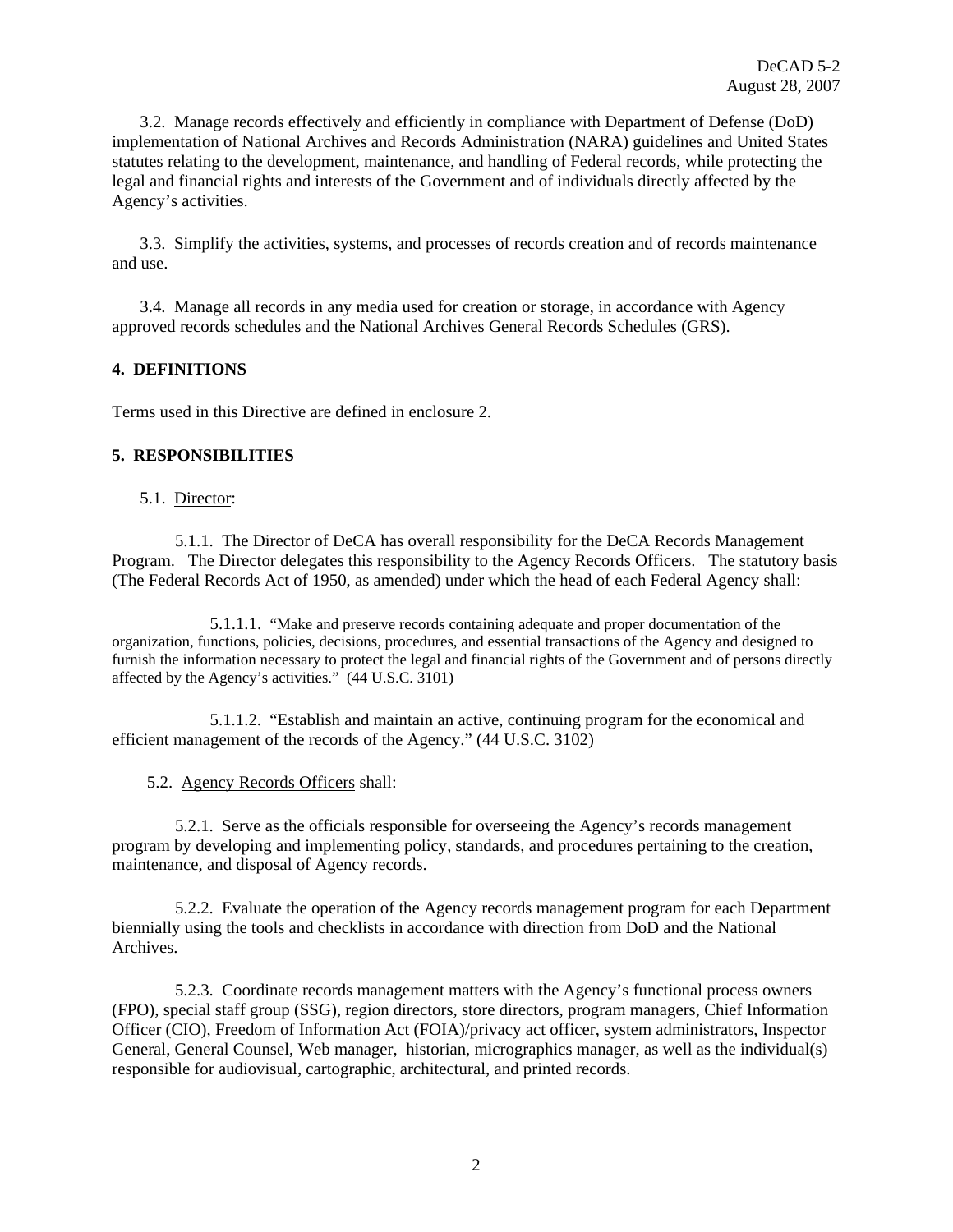3.2. Manage records effectively and efficiently in compliance with Department of Defense (DoD) implementation of National Archives and Records Administration (NARA) guidelines and United States statutes relating to the development, maintenance, and handling of Federal records, while protecting the legal and financial rights and interests of the Government and of individuals directly affected by the Agency's activities.

3.3. Simplify the activities, systems, and processes of records creation and of records maintenance and use.

3.4. Manage all records in any media used for creation or storage, in accordance with Agency approved records schedules and the National Archives General Records Schedules (GRS).

# **4. DEFINITIONS**

Terms used in this Directive are defined in enclosure 2.

# **5. RESPONSIBILITIES**

#### 5.1. Director:

5.1.1. The Director of DeCA has overall responsibility for the DeCA Records Management Program. The Director delegates this responsibility to the Agency Records Officers. The statutory basis (The Federal Records Act of 1950, as amended) under which the head of each Federal Agency shall:

5.1.1.1. "Make and preserve records containing adequate and proper documentation of the organization, functions, policies, decisions, procedures, and essential transactions of the Agency and designed to furnish the information necessary to protect the legal and financial rights of the Government and of persons directly affected by the Agency's activities." (44 U.S.C. 3101)

5.1.1.2. "Establish and maintain an active, continuing program for the economical and efficient management of the records of the Agency." (44 U.S.C. 3102)

# 5.2. Agency Records Officers shall:

5.2.1. Serve as the officials responsible for overseeing the Agency's records management program by developing and implementing policy, standards, and procedures pertaining to the creation, maintenance, and disposal of Agency records.

5.2.2. Evaluate the operation of the Agency records management program for each Department biennially using the tools and checklists in accordance with direction from DoD and the National Archives.

5.2.3. Coordinate records management matters with the Agency's functional process owners (FPO), special staff group (SSG), region directors, store directors, program managers, Chief Information Officer (CIO), Freedom of Information Act (FOIA)/privacy act officer, system administrators, Inspector General, General Counsel, Web manager, historian, micrographics manager, as well as the individual(s) responsible for audiovisual, cartographic, architectural, and printed records.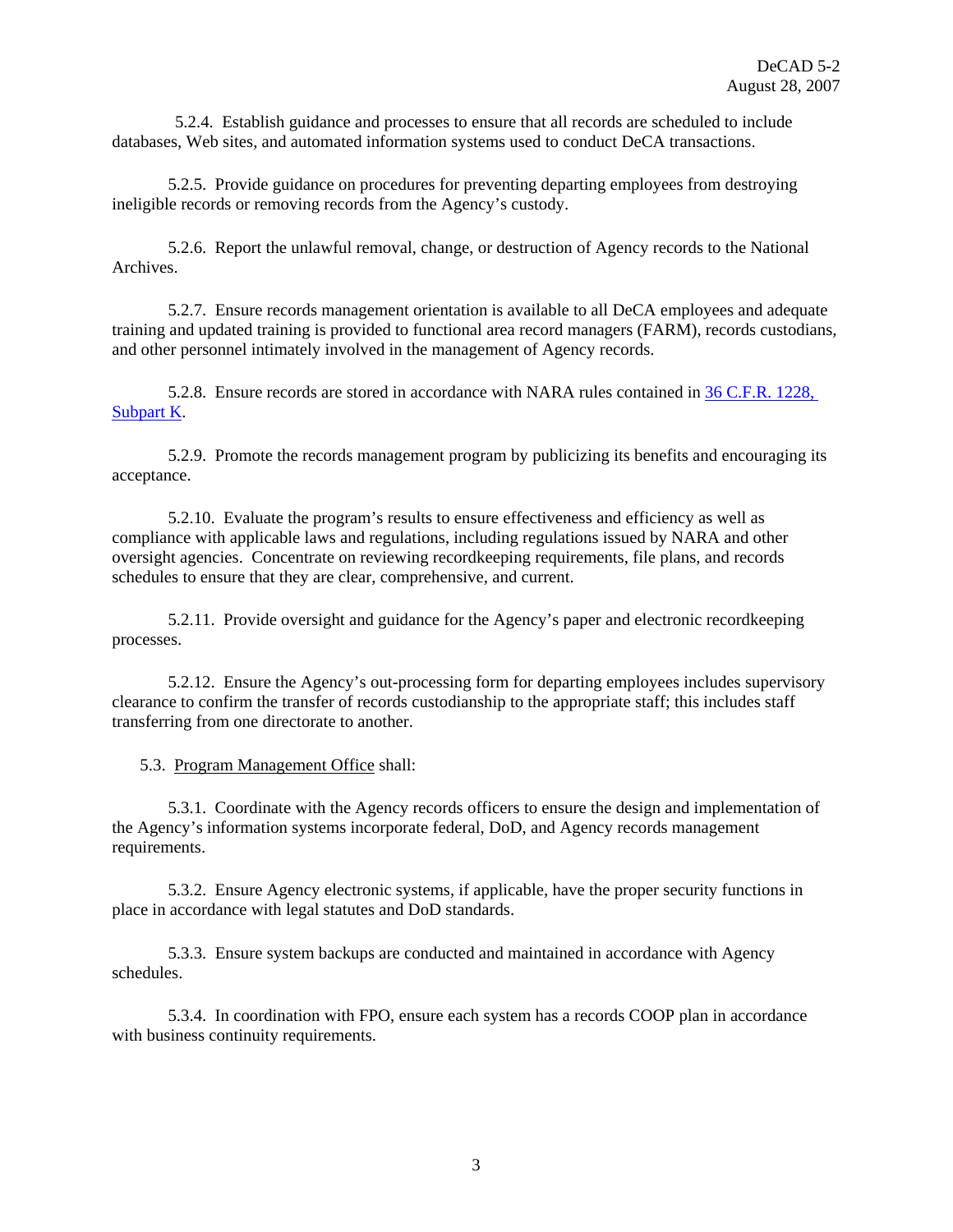5.2.4. Establish guidance and processes to ensure that all records are scheduled to include databases, Web sites, and automated information systems used to conduct DeCA transactions.

5.2.5. Provide guidance on procedures for preventing departing employees from destroying ineligible records or removing records from the Agency's custody.

5.2.6. Report the unlawful removal, change, or destruction of Agency records to the National Archives.

5.2.7. Ensure records management orientation is available to all DeCA employees and adequate training and updated training is provided to functional area record managers (FARM), records custodians, and other personnel intimately involved in the management of Agency records.

5.2.8. Ensure records are stored in accordance with NARA rules contained in [36 C.F.R. 1228,](http://www.archives.gov/about/regulations/part-1228/k.html)  [Subpart K.](http://www.archives.gov/about/regulations/part-1228/k.html)

5.2.9. Promote the records management program by publicizing its benefits and encouraging its acceptance.

5.2.10. Evaluate the program's results to ensure effectiveness and efficiency as well as compliance with applicable laws and regulations, including regulations issued by NARA and other oversight agencies. Concentrate on reviewing recordkeeping requirements, file plans, and records schedules to ensure that they are clear, comprehensive, and current.

5.2.11. Provide oversight and guidance for the Agency's paper and electronic recordkeeping processes.

5.2.12. Ensure the Agency's out-processing form for departing employees includes supervisory clearance to confirm the transfer of records custodianship to the appropriate staff; this includes staff transferring from one directorate to another.

5.3. Program Management Office shall:

5.3.1. Coordinate with the Agency records officers to ensure the design and implementation of the Agency's information systems incorporate federal, DoD, and Agency records management requirements.

5.3.2. Ensure Agency electronic systems, if applicable, have the proper security functions in place in accordance with legal statutes and DoD standards.

5.3.3. Ensure system backups are conducted and maintained in accordance with Agency schedules.

5.3.4. In coordination with FPO, ensure each system has a records COOP plan in accordance with business continuity requirements.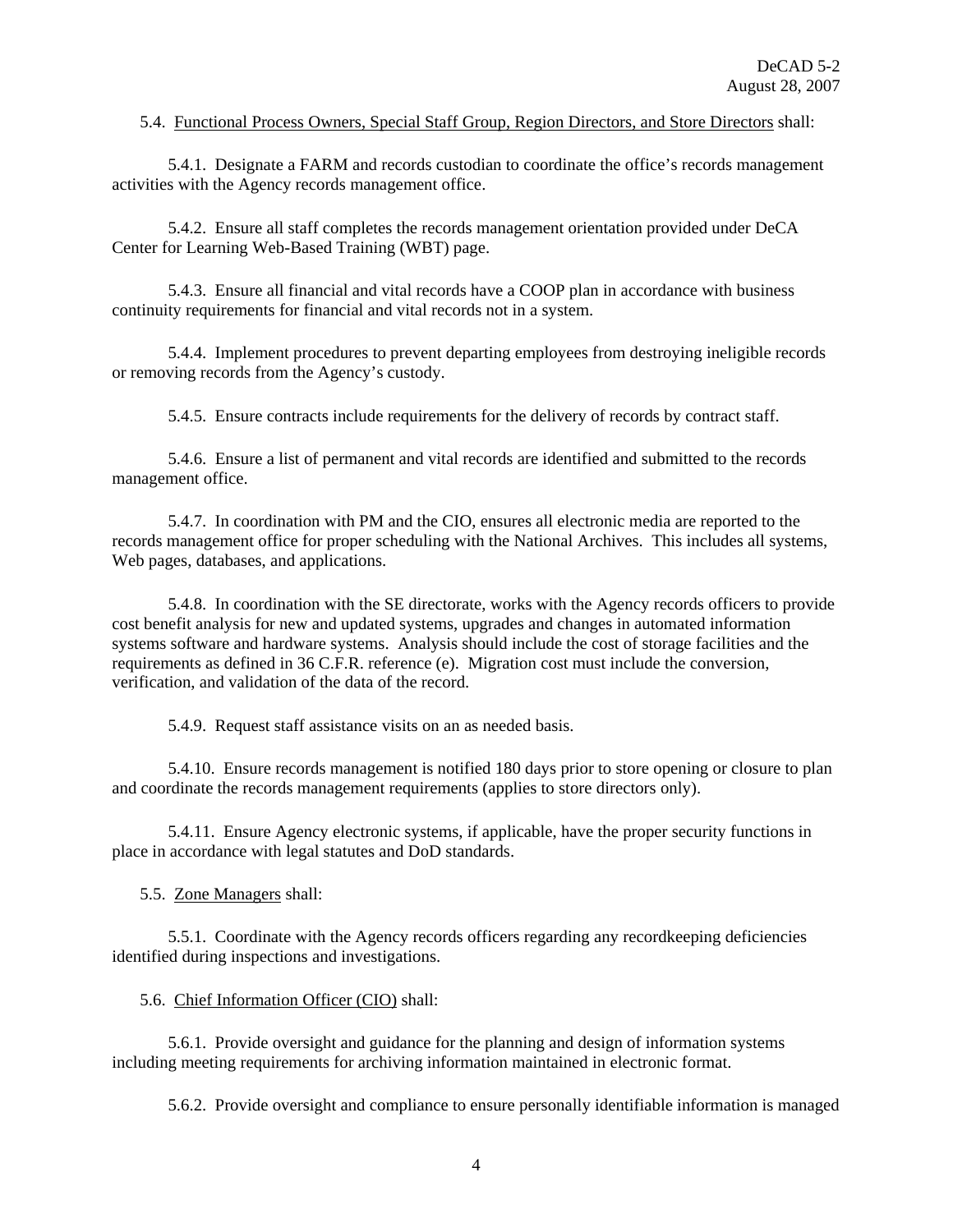#### 5.4. Functional Process Owners, Special Staff Group, Region Directors, and Store Directors shall:

5.4.1. Designate a FARM and records custodian to coordinate the office's records management activities with the Agency records management office.

5.4.2. Ensure all staff completes the records management orientation provided under DeCA Center for Learning Web-Based Training (WBT) page.

5.4.3. Ensure all financial and vital records have a COOP plan in accordance with business continuity requirements for financial and vital records not in a system.

5.4.4. Implement procedures to prevent departing employees from destroying ineligible records or removing records from the Agency's custody.

5.4.5. Ensure contracts include requirements for the delivery of records by contract staff.

5.4.6. Ensure a list of permanent and vital records are identified and submitted to the records management office.

5.4.7. In coordination with PM and the CIO, ensures all electronic media are reported to the records management office for proper scheduling with the National Archives. This includes all systems, Web pages, databases, and applications.

5.4.8. In coordination with the SE directorate, works with the Agency records officers to provide cost benefit analysis for new and updated systems, upgrades and changes in automated information systems software and hardware systems. Analysis should include the cost of storage facilities and the requirements as defined in 36 C.F.R. reference (e). Migration cost must include the conversion, verification, and validation of the data of the record.

5.4.9. Request staff assistance visits on an as needed basis.

5.4.10. Ensure records management is notified 180 days prior to store opening or closure to plan and coordinate the records management requirements (applies to store directors only).

5.4.11. Ensure Agency electronic systems, if applicable, have the proper security functions in place in accordance with legal statutes and DoD standards.

5.5. Zone Managers shall:

5.5.1. Coordinate with the Agency records officers regarding any recordkeeping deficiencies identified during inspections and investigations.

5.6. Chief Information Officer (CIO) shall:

5.6.1. Provide oversight and guidance for the planning and design of information systems including meeting requirements for archiving information maintained in electronic format.

5.6.2. Provide oversight and compliance to ensure personally identifiable information is managed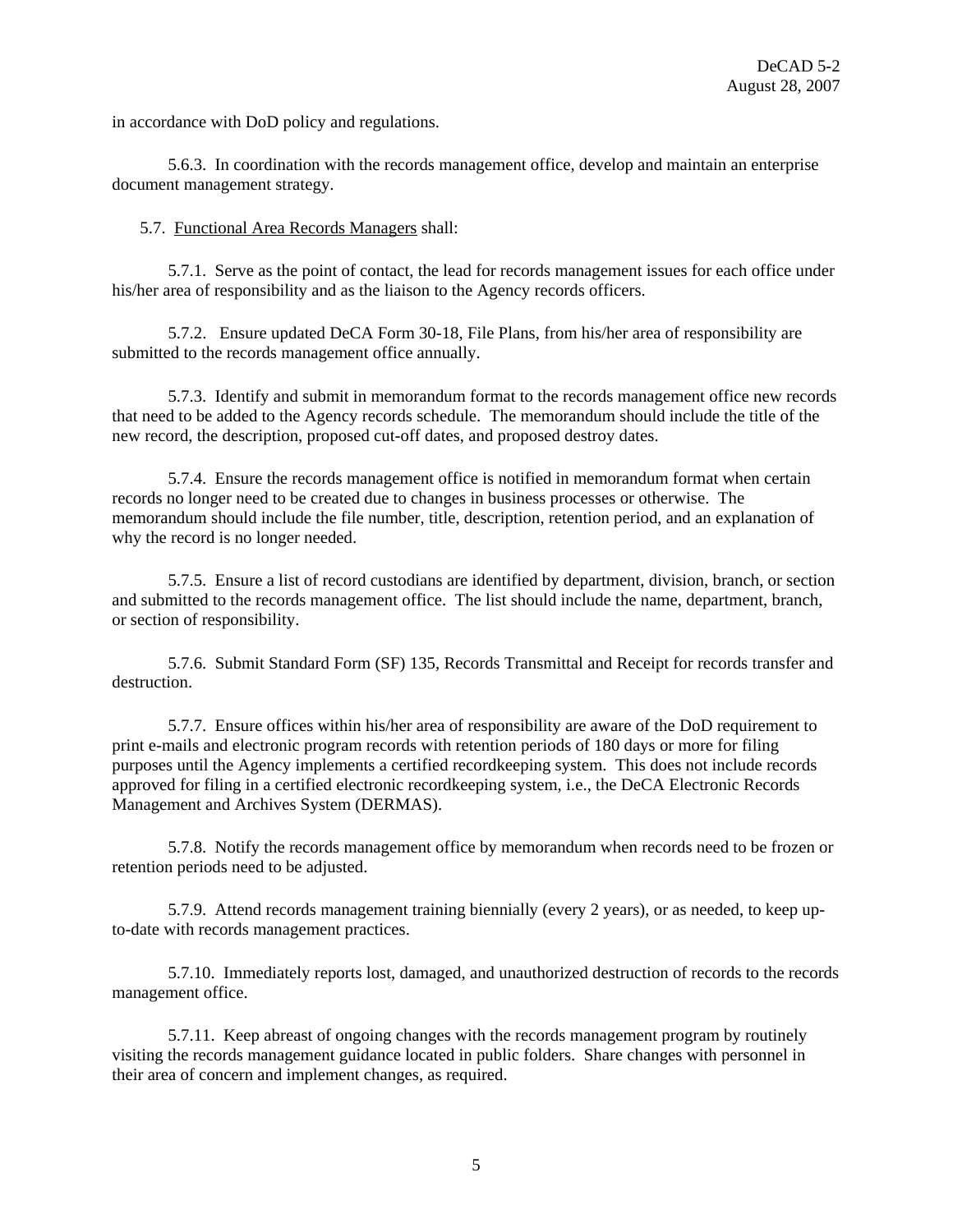in accordance with DoD policy and regulations.

5.6.3. In coordination with the records management office, develop and maintain an enterprise document management strategy.

5.7. Functional Area Records Managers shall:

5.7.1. Serve as the point of contact, the lead for records management issues for each office under his/her area of responsibility and as the liaison to the Agency records officers.

5.7.2. Ensure updated DeCA Form 30-18, File Plans, from his/her area of responsibility are submitted to the records management office annually.

5.7.3. Identify and submit in memorandum format to the records management office new records that need to be added to the Agency records schedule. The memorandum should include the title of the new record, the description, proposed cut-off dates, and proposed destroy dates.

5.7.4. Ensure the records management office is notified in memorandum format when certain records no longer need to be created due to changes in business processes or otherwise. The memorandum should include the file number, title, description, retention period, and an explanation of why the record is no longer needed.

5.7.5. Ensure a list of record custodians are identified by department, division, branch, or section and submitted to the records management office. The list should include the name, department, branch, or section of responsibility.

5.7.6. Submit Standard Form (SF) 135, Records Transmittal and Receipt for records transfer and destruction.

5.7.7. Ensure offices within his/her area of responsibility are aware of the DoD requirement to print e-mails and electronic program records with retention periods of 180 days or more for filing purposes until the Agency implements a certified recordkeeping system. This does not include records approved for filing in a certified electronic recordkeeping system, i.e., the DeCA Electronic Records Management and Archives System (DERMAS).

5.7.8. Notify the records management office by memorandum when records need to be frozen or retention periods need to be adjusted.

5.7.9. Attend records management training biennially (every 2 years), or as needed, to keep upto-date with records management practices.

5.7.10. Immediately reports lost, damaged, and unauthorized destruction of records to the records management office.

5.7.11. Keep abreast of ongoing changes with the records management program by routinely visiting the records management guidance located in public folders. Share changes with personnel in their area of concern and implement changes, as required.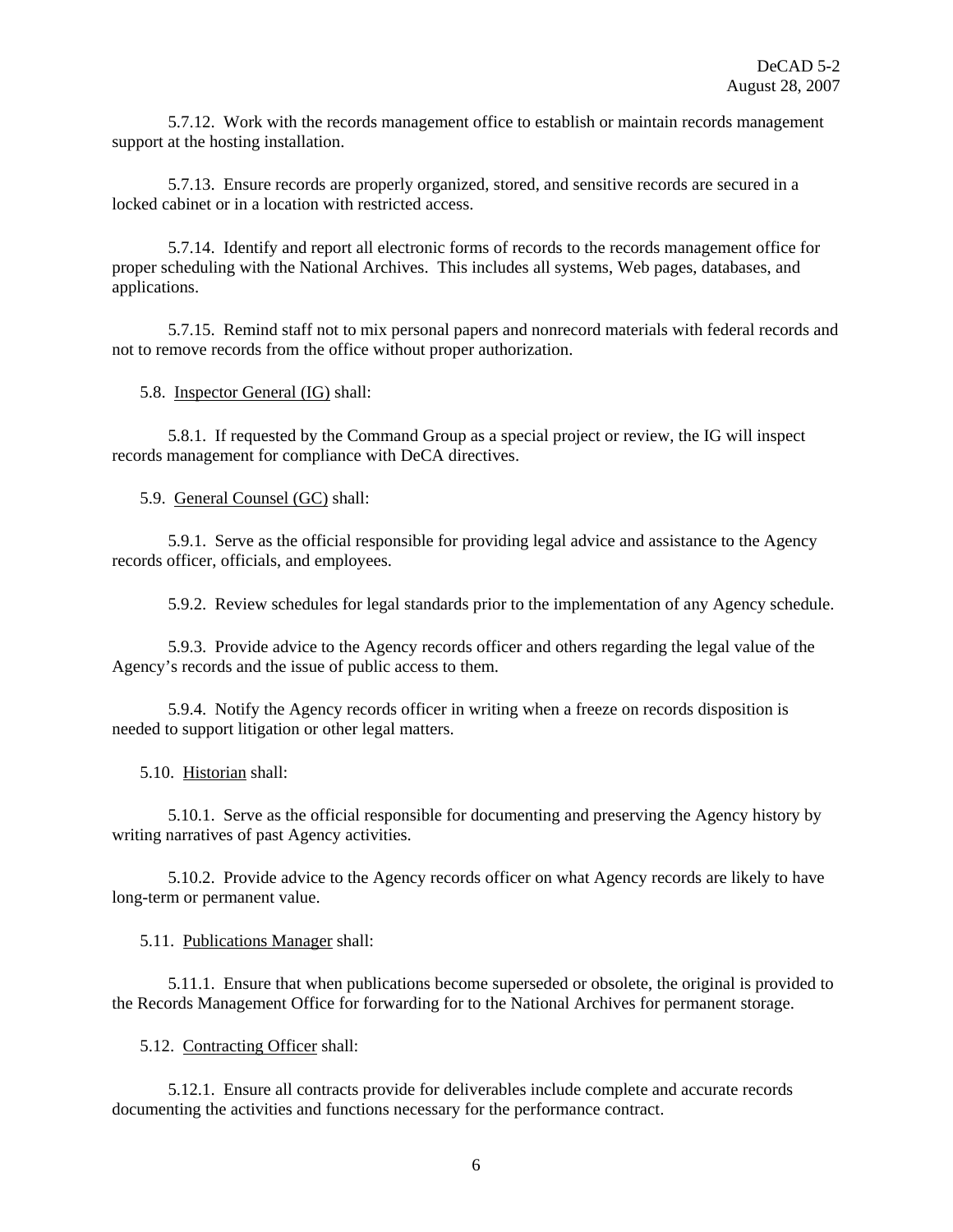5.7.12. Work with the records management office to establish or maintain records management support at the hosting installation.

5.7.13. Ensure records are properly organized, stored, and sensitive records are secured in a locked cabinet or in a location with restricted access.

5.7.14. Identify and report all electronic forms of records to the records management office for proper scheduling with the National Archives. This includes all systems, Web pages, databases, and applications.

5.7.15. Remind staff not to mix personal papers and nonrecord materials with federal records and not to remove records from the office without proper authorization.

5.8. Inspector General (IG) shall:

5.8.1. If requested by the Command Group as a special project or review, the IG will inspect records management for compliance with DeCA directives.

5.9. General Counsel (GC) shall:

5.9.1. Serve as the official responsible for providing legal advice and assistance to the Agency records officer, officials, and employees.

5.9.2. Review schedules for legal standards prior to the implementation of any Agency schedule.

5.9.3. Provide advice to the Agency records officer and others regarding the legal value of the Agency's records and the issue of public access to them.

5.9.4. Notify the Agency records officer in writing when a freeze on records disposition is needed to support litigation or other legal matters.

5.10. Historian shall:

5.10.1. Serve as the official responsible for documenting and preserving the Agency history by writing narratives of past Agency activities.

5.10.2. Provide advice to the Agency records officer on what Agency records are likely to have long-term or permanent value.

5.11. Publications Manager shall:

5.11.1. Ensure that when publications become superseded or obsolete, the original is provided to the Records Management Office for forwarding for to the National Archives for permanent storage.

5.12. Contracting Officer shall:

5.12.1. Ensure all contracts provide for deliverables include complete and accurate records documenting the activities and functions necessary for the performance contract.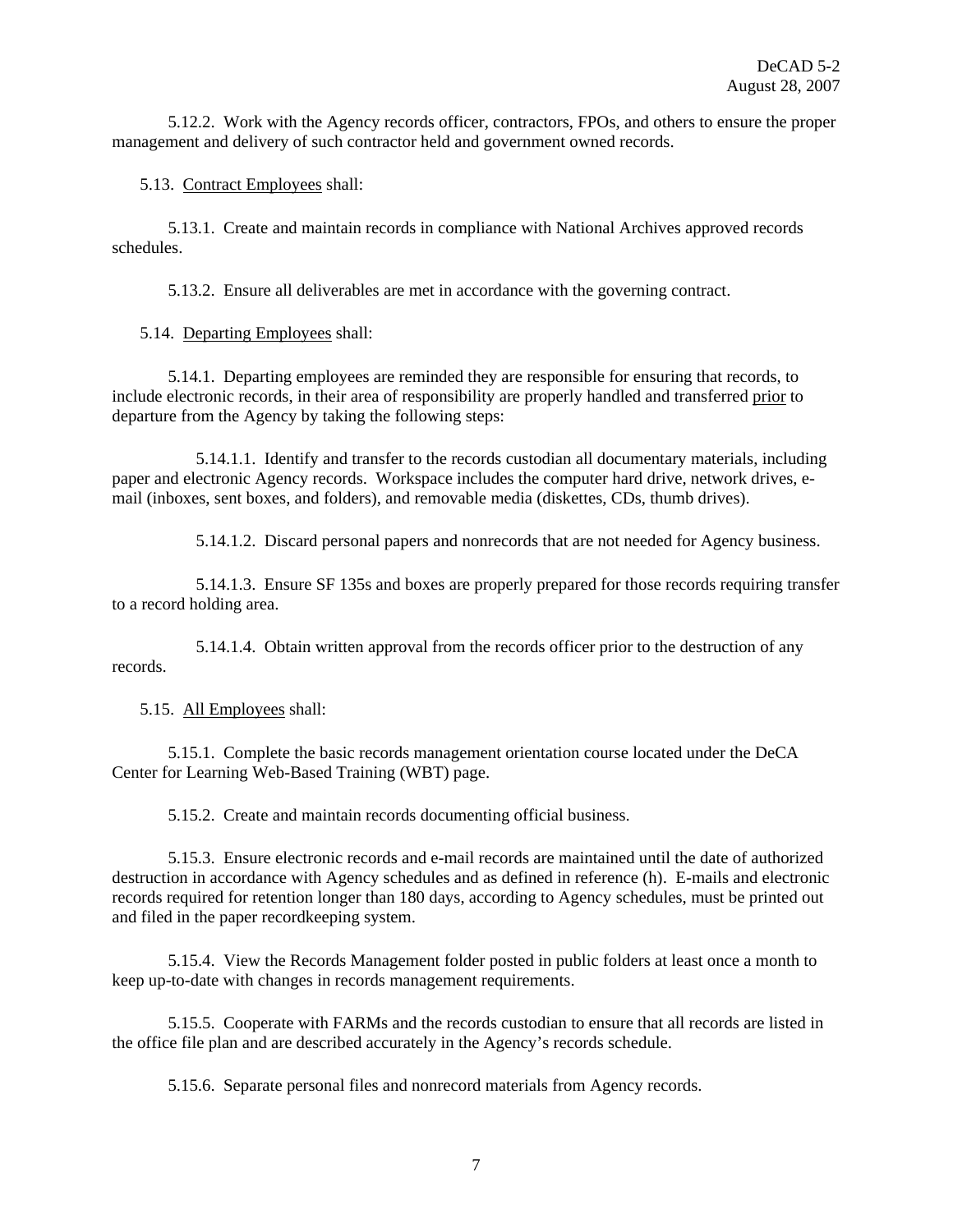5.12.2. Work with the Agency records officer, contractors, FPOs, and others to ensure the proper management and delivery of such contractor held and government owned records.

5.13. Contract Employees shall:

5.13.1. Create and maintain records in compliance with National Archives approved records schedules.

5.13.2. Ensure all deliverables are met in accordance with the governing contract.

5.14. Departing Employees shall:

5.14.1. Departing employees are reminded they are responsible for ensuring that records, to include electronic records, in their area of responsibility are properly handled and transferred prior to departure from the Agency by taking the following steps:

5.14.1.1. Identify and transfer to the records custodian all documentary materials, including paper and electronic Agency records. Workspace includes the computer hard drive, network drives, email (inboxes, sent boxes, and folders), and removable media (diskettes, CDs, thumb drives).

5.14.1.2. Discard personal papers and nonrecords that are not needed for Agency business.

5.14.1.3. Ensure SF 135s and boxes are properly prepared for those records requiring transfer to a record holding area.

5.14.1.4. Obtain written approval from the records officer prior to the destruction of any records.

5.15. All Employees shall:

5.15.1. Complete the basic records management orientation course located under the DeCA Center for Learning Web-Based Training (WBT) page.

5.15.2. Create and maintain records documenting official business.

5.15.3. Ensure electronic records and e-mail records are maintained until the date of authorized destruction in accordance with Agency schedules and as defined in reference (h). E-mails and electronic records required for retention longer than 180 days, according to Agency schedules, must be printed out and filed in the paper recordkeeping system.

5.15.4. View the Records Management folder posted in public folders at least once a month to keep up-to-date with changes in records management requirements.

5.15.5. Cooperate with FARMs and the records custodian to ensure that all records are listed in the office file plan and are described accurately in the Agency's records schedule.

5.15.6. Separate personal files and nonrecord materials from Agency records.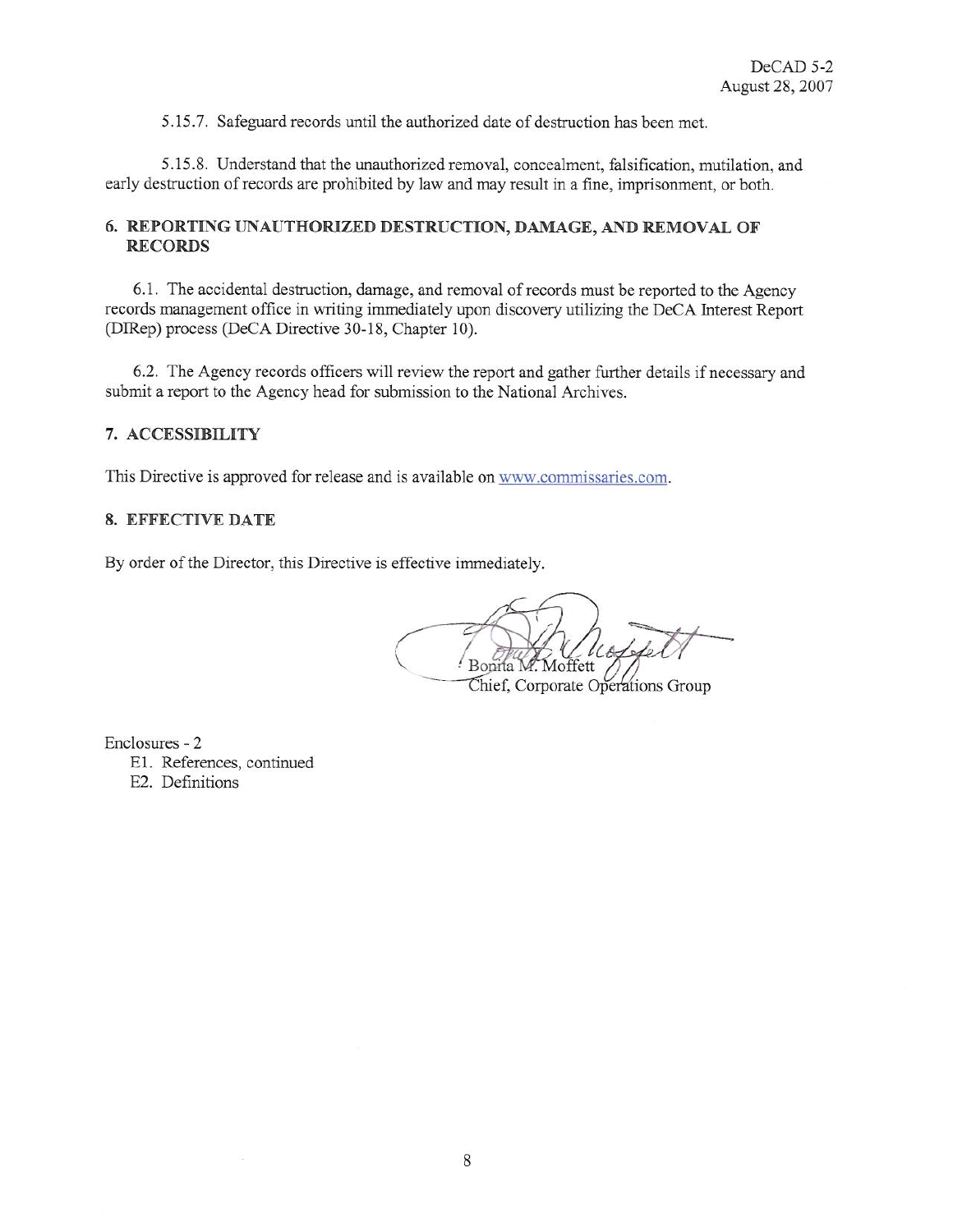5.15.7. Safeguard records until the authorized date of destruction has been met.

5.15.8. Understand that the unauthorized removal, concealment, falsification, mutilation, and early destruction of records are prohibited by law and may result in a fine, imprisonment, or both.

# 6. REPORTING UNAUTHORIZED DESTRUCTION, DAMAGE, AND REMOVAL OF **RECORDS**

6.1. The accidental destruction, damage, and removal of records must be reported to the Agency records management office in writing immediately upon discovery utilizing the DeCA Interest Report (DIRep) process (DeCA Directive 30-18, Chapter 10).

6.2. The Agency records officers will review the report and gather further details if necessary and submit a report to the Agency head for submission to the National Archives.

# 7. ACCESSIBILITY

This Directive is approved for release and is available on www.commissaries.com.

#### 8. EFFECTIVE DATE

By order of the Director, this Directive is effective immediately.

*A*offett

Chief, Corporate Operations Group

Enclosures - 2 E1. References, continued E2. Definitions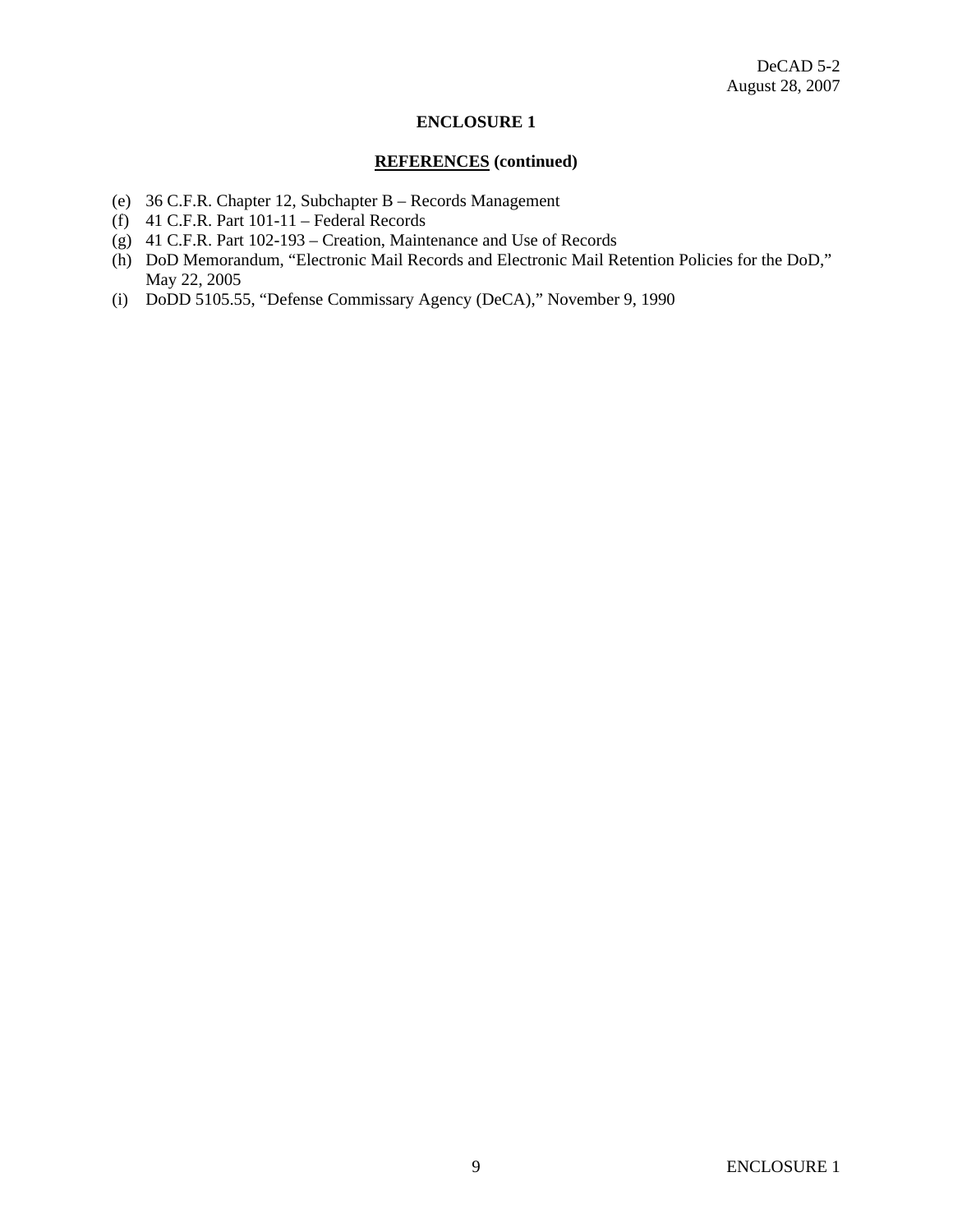# **ENCLOSURE 1**

#### **REFERENCES (continued)**

- (e) 36 C.F.R. Chapter 12, Subchapter B Records Management
- (f)  $41$  C.F.R. Part  $101-11$  Federal Records
- (g) 41 C.F.R. Part 102-193 Creation, Maintenance and Use of Records
- (h) DoD Memorandum, "Electronic Mail Records and Electronic Mail Retention Policies for the DoD," May 22, 2005
- (i) DoDD 5105.55, "Defense Commissary Agency (DeCA)," November 9, 1990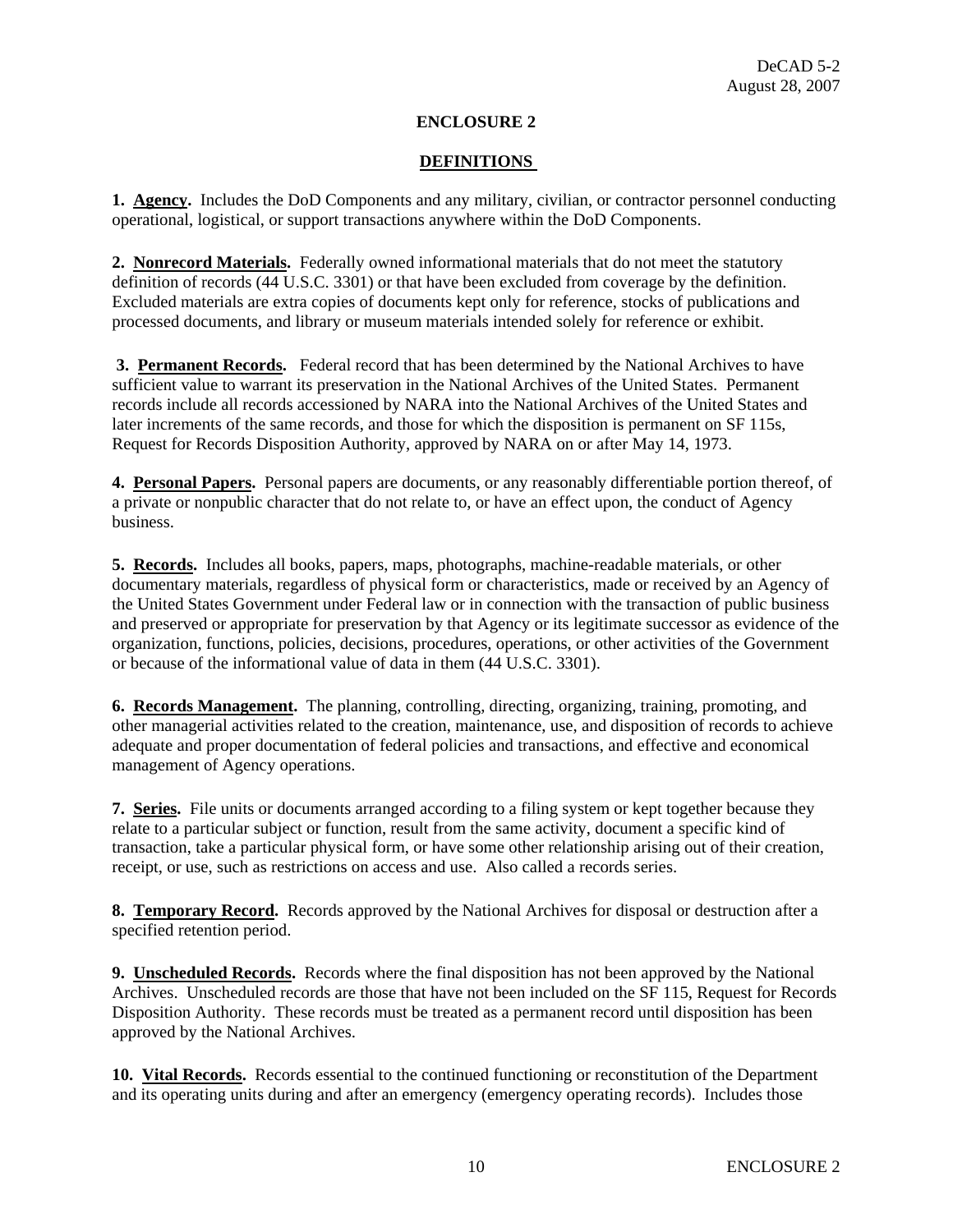# **ENCLOSURE 2**

# **DEFINITIONS**

**1. Agency.** Includes the DoD Components and any military, civilian, or contractor personnel conducting operational, logistical, or support transactions anywhere within the DoD Components.

**2. Nonrecord Materials.** Federally owned informational materials that do not meet the statutory definition of records (44 U.S.C. 3301) or that have been excluded from coverage by the definition. Excluded materials are extra copies of documents kept only for reference, stocks of publications and processed documents, and library or museum materials intended solely for reference or exhibit.

 **3. Permanent Records.** Federal record that has been determined by the National Archives to have sufficient value to warrant its preservation in the National Archives of the United States. Permanent records include all records accessioned by NARA into the National Archives of the United States and later increments of the same records, and those for which the disposition is permanent on SF 115s, Request for Records Disposition Authority, approved by NARA on or after May 14, 1973.

**4. Personal Papers.** Personal papers are documents, or any reasonably differentiable portion thereof, of a private or nonpublic character that do not relate to, or have an effect upon, the conduct of Agency business.

**5. Records.** Includes all books, papers, maps, photographs, machine-readable materials, or other documentary materials, regardless of physical form or characteristics, made or received by an Agency of the United States Government under Federal law or in connection with the transaction of public business and preserved or appropriate for preservation by that Agency or its legitimate successor as evidence of the organization, functions, policies, decisions, procedures, operations, or other activities of the Government or because of the informational value of data in them (44 U.S.C. 3301).

**6. Records Management.** The planning, controlling, directing, organizing, training, promoting, and other managerial activities related to the creation, maintenance, use, and disposition of records to achieve adequate and proper documentation of federal policies and transactions, and effective and economical management of Agency operations.

**7. Series.** File units or documents arranged according to a filing system or kept together because they relate to a particular subject or function, result from the same activity, document a specific kind of transaction, take a particular physical form, or have some other relationship arising out of their creation, receipt, or use, such as restrictions on access and use. Also called a records series.

**8. Temporary Record.** Records approved by the National Archives for disposal or destruction after a specified retention period.

**9. Unscheduled Records.** Records where the final disposition has not been approved by the National Archives. Unscheduled records are those that have not been included on the SF 115, Request for Records Disposition Authority. These records must be treated as a permanent record until disposition has been approved by the National Archives.

**10. Vital Records.** Records essential to the continued functioning or reconstitution of the Department and its operating units during and after an emergency (emergency operating records). Includes those